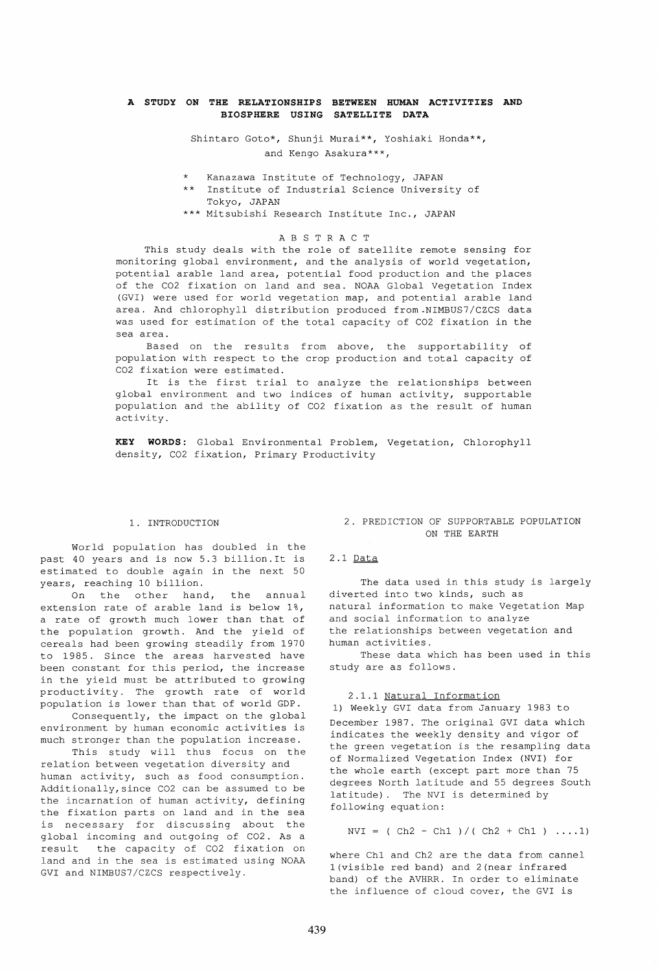### **A STUDY ON THE RELATIONSHIPS BETWEEN HUMAN ACTIVITIES AND BIOSPHERE USING SATELLITE DATA**

Shintaro Goto\*, Shunji Murai\*\*, Yoshiaki Honda\*\*, and Kengo Asakura\*\*\*,

- \* Kanazawa Institute of Technology, JAPAN
- \*\* Institute of Industrial Science University of Tokyo, JAPAN
- \*\*\* Mitsubishi Research Institute Inc., JAPAN

#### A B S T R ACT

This study deals with the role of satellite remote sensing for monitoring global environment, and the analysis of world vegetation, potential arable land area, potential food production and the places of the C02 fixation on land and sea. NOAA Global Vegetation Index (GVI) were used for world vegetation map, and potential arable land area. And chlorophyll distribution produced from.NIMBUS7/CZCS data was used for estimation of the total capacity of C02 fixation in the sea area.

Based on the results from above, the supportability of population with respect to the crop production and total capacity of C02 fixation were estimated.

It is the first trial to analyze the relationships between global environment and two indices of human activity, supportable population and the ability of C02 fixation as the result of human activity.

**KEY WORDS:** Global Environmental Problem, Vegetation, Chlorophyll density, C02 fixation, Primary Productivity

### 1. INTRODUCTION

World population has doubled in the past 40 years and is now 5.3 billion.It is estimated to double again in the next 50 years, reaching 10 billion.

On the other hand, the annual extension rate of arable land is below 1%, a rate of growth much lower than that of the population growth. And the yield of cereals had been growing steadily from 1970 to 1985. Since the areas harvested have been constant for this period, the increase in the yield must be attributed to growing productivity. The growth rate of world population is lower than that of world GDP.

Consequently, the impact on the global environment by human economic activities is much stronger than the population increase.

This study will thus focus on the relation between vegetation diversity and human activity, such as food consumption. Additionally,since C02 can be assumed to be the incarnation of human activity, defining the fixation parts on land and in the sea is necessary for discussing about the global incoming and outgoing of C02. As a result the capacity of C02 fixation on land and in the sea is estimated using NOAA GVI and NIMBUS7/CZCS respectively.

### 2. PREDICTION OF SUPPORTABLE POPULATION ON THE EARTH

#### 2.1 Data

The data used in this study is largely diverted into two kinds, such as natural information to make vegetation Map and social information to analyze the relationships between vegetation and human activities.

These data which has been used in this study are as follows.

#### 2.1.1 Natural Information

1) Weekly GVI data from January 1983 to December 1987. The original GVI data which indicates the weekly density and vigor of the green vegetation is the resampling data of Normalized Vegetation Index (NVI) for the whole earth (except part more than 75 degrees North latitude and 55 degrees South latitude). The NVI is determined by following equation:

 $NVI = ( Ch2 - Ch1 ) / ( Ch2 + Ch1 ) ... 1)$ 

where Ch1 and Ch2 are the data from cannel 1 (visible red band) and 2 (near infrared band) of the AVHRR. In order to eliminate the influence of cloud cover, the GVI is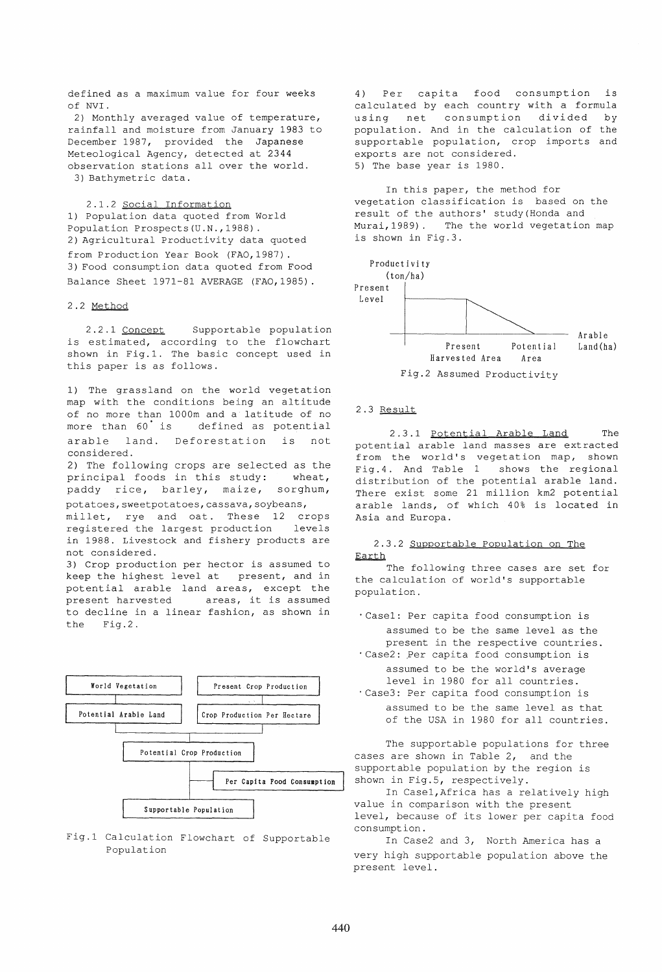defined as a maximum value for four weeks of NVI.

2) Monthly averaged value of temperature, rainfall and moisture from January 1983 to December 1987, provided the Japanese Meteological Agency, detected at 2344 observation stations all over the world. 3) Bathymetric data.

2.1.2 Social Information 1) Population data quoted from World Population Prospects(U.N.,1988). 2) Agricultural Productivity data quoted from Production Year Book (FAO,1987). 3) Food consumption data quoted from Food Balance Sheet 1971-81 AVERAGE (FAO,1985).

# 2.2 Method

2.2.1 Concept Supportable population is estimated, according to the flowchart shown in Fig.l. The basic concept used in this paper is as follows.

1) The grassland on the world vegetation map with the conditions being an altitude of no more than 1000m and a latitude of no<br>more than 60 is defined as potential defined as potential arable land. Deforestation is not considered.

2) The following crops are selected as the principal foods in this study: wheat, paddy rice, barley, maize, sorghum, potatoes, sweetpotatoes, cassava, soybeans,

millet, rye and oat. These 12 crops<br>registered the largest production levels registered the largest production in 1988. Livestock and fishery products are not considered.

3) Crop production per hector is assumed to keep the highest level at present, and in potential arable land areas, except the present harvested areas, it is assumed to decline in a linear fashion, as shown in the Fig.2.





4) Per capita food consumption is calculated by each country with a formula using net consumption divided by population. And in the calculation of the supportable population, crop imports and exports are not considered. 5) The base year is 1980.

In this paper, the method for vegetation classification is based on the result of the authors' study(Honda and Murai,1989). The the world vegetation map is shown in Fig.3.



### 2.3 Result

2.3.1 Potential Arable Land The potential arable land masses are extracted from the world's vegetation map, shown Fig.4. And Table 1 shows the regional distribution of the potential arable land. There exist some 21 million km2 potential arable lands, of which 40% is located in Asia and Europa.

### 2.3.2 Supportable Population on The Earth

The following three cases are set for the calculation of world's supportable population.

- 'Case1: Per capita food consumption is assumed to be the same level as the present in the respective countries .
- . Case2: Per capita food consumption is assumed to be the world's average level in 1980 for all countries. 'Case3: Per capita food consumption is assumed to be the same level as that

of the USA in 1980 for all countries.

The supportable populations for three cases are shown in Table 2, and the supportable population by the region is shown in Fig.5, respectively.

In Case1,Africa has a relatively high value in comparison with the present level, because of its lower per capita food consumption.

In Case2 and 3, North America has a very high supportable population above the present level.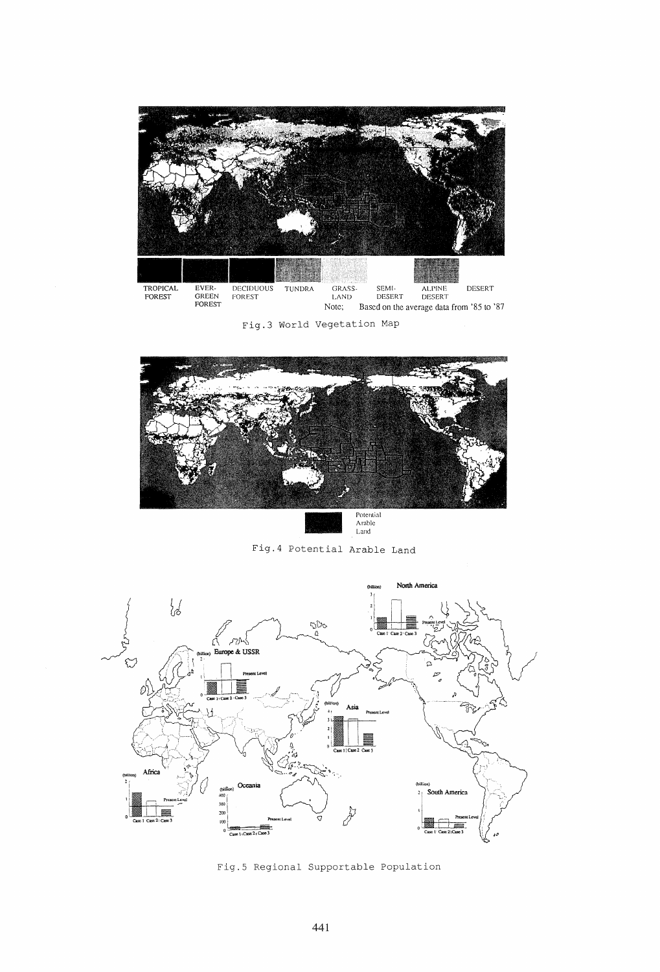

Fig.3 World Vegetation Map



Fig.4 Potential Arable Land



Fig.5 Regional Supportable Population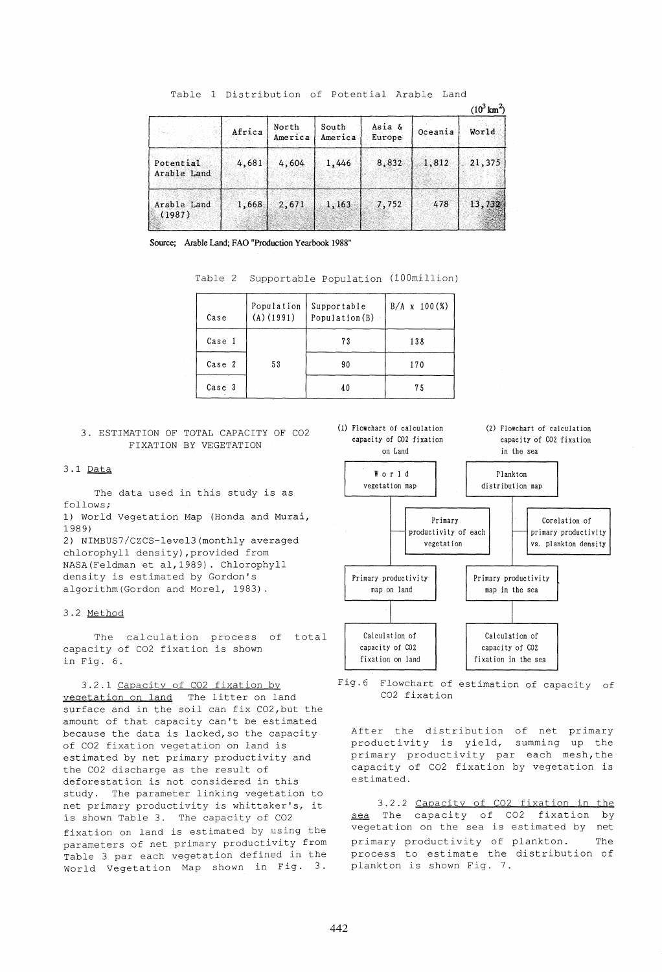|                          |        |                  |                  |                  |         | $(10^3 \text{ km}^2)$ |  |
|--------------------------|--------|------------------|------------------|------------------|---------|-----------------------|--|
|                          | Africa | North<br>America | South<br>America | Asia &<br>Europe | Oceania | World                 |  |
| Potential<br>Arable Land | 4,681  | 4,604            | 1,446            | 8,832            | 1,812   | 21,375                |  |
| Arable Land<br>(1987)    | 1,668  | 2,671            | 1,163            | 7,752            | 478     | 13,732                |  |

Table 1 Distribution of Potential Arable Land

Source; Arable Land; FAD "Production Yearbook 1988"

Table 2 Supportable Population (100million)

| Case   | Population<br>$(A)$ (1991) | Supportable<br>Population (B) | $B/A \times 100$ (%) |
|--------|----------------------------|-------------------------------|----------------------|
| Case 1 |                            | 73                            | 138                  |
| Case 2 | 53                         | 90                            | 170                  |
| Case 3 |                            | 40                            | 75                   |

# 3. ESTIMATION OF TOTAL CAPACITY OF C02 FIXATION BY VEGETATION

#### 3.1 Data

The data used in this study is as follows;

1) World Vegetation Map (Honda and Murai, 1989)

2) NIMBUS7/CZCS-leve13(monthly averaged chlorophyll density), provided from NASA(Feldman et al,1989). Chlorophyll density is estimated by Gordon's algorithm(Gordon and Morel, 1983).

### 3.2 Method

The calculation process of total capacity of C02 fixation is shown in Fig. 6.

3.2.1 Capacity of C02 fixation by vegetation on land The litter on land surface and in the soil can fix CO2, but the amount of that capacity can't be estimated because the data is lacked, so the capacity of C02 fixation vegetation on land is estimated by net primary productivity and the C02 discharge as the result of deforestation is not considered in this study. The parameter linking vegetation to net primary productivity is whittaker's, it is shown Table 3. The capacity of C02 fixation on land is estimated by using the parameters of net primary productivity from Table 3 par each vegetation defined in the World Vegetation Map shown in Fig. 3.



(2) Flowchart of calculation capacity of CO2 fixation in the sea



Fig.6 Flowchart of estimation of capacity of C02 fixation

After the distribution of net primary productivity is yield, summing up the primary productivity par each mesh,the capacity of C02 fixation by vegetation is estimated.

3.2.2 Capacity of C02 fixation in the sea The capacity of CO2 fixation by vegetation on the sea is estimated by net primary productivity of plankton. The process to estimate the distribution of plankton is shown Fig. 7.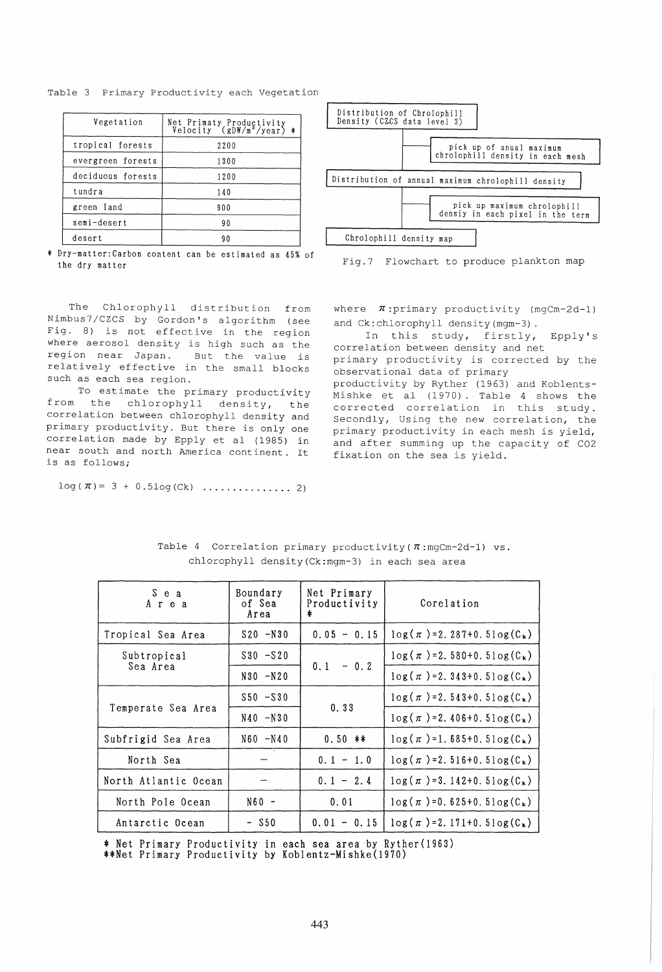Table 3 Primary Productivity each Vegetation

| Vegetation        | Net Primaty Productivity<br>Velocity (gDW/m <sup>2</sup> /year) * |  |  |
|-------------------|-------------------------------------------------------------------|--|--|
| tropical forests  | 2200                                                              |  |  |
| evergreen forests | 1300                                                              |  |  |
| deciduous forests | 1200                                                              |  |  |
| tundra            | 140                                                               |  |  |
| green land        | 900                                                               |  |  |
| semi-desert       | 90                                                                |  |  |
| desert            | 90                                                                |  |  |

Chrolophill density map I \* Dry-matter:Carbon content can be estimated as 45% of

The Chlorophyll distribution from Nimbus7/CZCS by Gordon's algorithm (see Fig. 8) is not effective in the region where aerosol density is high such as the region near Japan. But the value is relatively effective in the small blocks such as each sea region.

To estimate the primary productivity<br>from the chlorophyll density, the chlorophyll density, the correlation between chlorophyll density and primary productivity. But there is only one correlation made by Epply et al (1985) in near south and north America continent. It is as follows;

log(7r)= 3 + O.51og(Ck) ............... 2)





where  $\pi$ :primary productivity (mgCm-2d-1) and Ck:chlorophyll density (mgm-3) .

In this study, firstly, Epply's correlation between density and net primary productivity is corrected by the observational data of primary productivity by Ryther (1963) and Koblents-Mishke et al (1970). Table 4 shows the corrected correlation in this study. Secondly, Using the new correlation, the primary productivity in each mesh is yield, and after summing up the capacity of C02 fixation on the sea is yield.

| S e a<br>Area        | Boundary<br>of Sea<br>Area | Net Primary<br>Productivity<br>* | Corelation                                     |
|----------------------|----------------------------|----------------------------------|------------------------------------------------|
| Tropical Sea Area    | $S20 - N30$                | $0.05 - 0.15$                    | $\log(\pi)$ = 2. 287+0. 5 $\log(C_{k})$        |
| Subtropical          | $S30 - S20$                |                                  | $\log(\pi)$ = 2. 580+0. 51 og(C <sub>k</sub> ) |
| Sea Area             | $N30 - N20$                | $0.1 - 0.2$                      | $log(\pi) = 2.343+0.5log(C_{k})$               |
|                      | $$50 - $30$                |                                  | $\log(\pi) = 2.543+0.51 \log(C_{k})$           |
| Temperate Sea Area   | $N40 - N30$                | 0.33                             | $\log(\pi)$ = 2.406+0.51 og(C <sub>k</sub> )   |
| Subfrigid Sea Area   | $N60 - N40$                | $0.50$ **                        | $\log(\pi) = 1.685 + 0.51 \log(C_{k})$         |
| North Sea            |                            | $0.1 - 1.0$                      | $\log(\pi) = 2.516+0.51 \log(C_{k})$           |
| North Atlantic Ocean |                            | $0.1 - 2.4$                      | $\log(\pi) = 3.142+0.5\log(C_{k})$             |
| North Pole Ocean     | $N60 -$                    | 0.01                             | $\log(\pi) = 0.625 + 0.5 \log(C_{k})$          |
| Antarctic Ocean      | $-$ S50                    | $0.01 - 0.15$                    | $\log(\pi) = 2.171 + 0.5 \log(C_{k})$          |

Table 4 Correlation primary productivity ( $\pi$ :mgCm-2d-1) vs. chlorophyll density (Ck:mgm-3) in each sea area

\* Net Primary Productivity in each sea area by Ryther(1963)

\*\*Net Primary Productivity by Koblentz-Mishke(1970)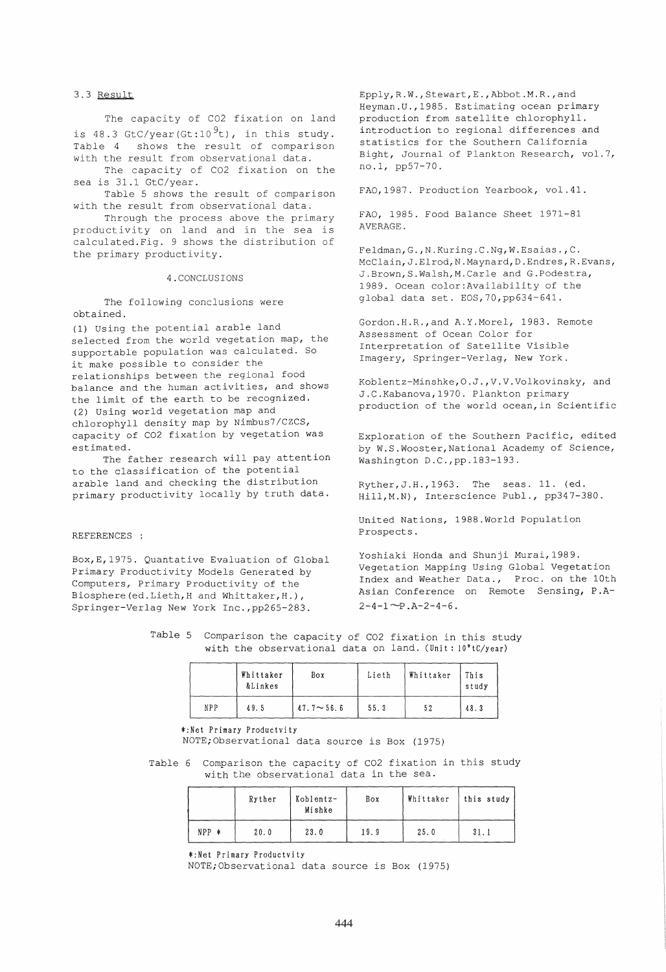### 3.3 Result

The capacity of C02 fixation on land is 48.3 GtC/year(Gt:10 $^{9}$ t), in this study. Table 4 shows the result of comparison with the result from observational data.

The capacity of C02 fixation on the sea is 31.1 GtC/year.

Table 5 shows the result of comparison with the result from observational data.

Through the process above the primary productivity on land and in the sea is .<br>calculated.Fig. 9 shows the distribution of the primary productivity.

#### 4.CONCLUSIONS

The following conclusions were obtained.

(1) using the potential arable land selected from the world vegetation map, the supportable population was calculated. So it make possible to consider the relationships between the regional food balance and the human activities, and shows the limit of the earth to be recognized. (2) using world vegetation map and chlorophyll density map by Nimbus7/CZCS, capacity of C02 fixation by vegetation was estimated.

The father research will pay attention to the classification of the potential arable land and checking the distribution primary productivity locally by truth data.

# REFERENCES :

Box,E,1975. Quantative Evaluation of Global Primary Productivity Models Generated by Computers, Primary Productivity of the Biosphere (ed.Lieth,H and Whittaker,H.), Springer-Verlag New York Inc.,pp265-283.

Epply,R.W.,Stewart,E.,Abbot.M.R.,and Heyman.U.,1985. Estimating ocean primary production from satellite chlorophyll. introduction to regional differences and statistics for the Southern California Bight, Journal of Plankton Research, vol.7, no.1, pp57-70.

FAO,1987. Production Yearbook, vol.41.

FAO, 1985. Food Balance Sheet 1971-81 AVERAGE.

Feldman,G.,N.Kuring.C.Ng,W.Esaias.,C. McClain,J.Elrod,N.Maynard,D.Endres,R.Evans, J.Brown,S.Walsh,M.Carle and G.Podestra, 1989. Ocean color:Availability of the global data set. EOS,70,pp634-641.

Gordon.H.R.,and A.Y.Morel, 1983. Remote Assessment of Ocean Color for Interpretation of Satellite Visible Imagery, Springer-Verlag, New York.

Koblentz-Minshke,O.J.,V.V.Volkovinsky, and J.C.Kabanova,1970. Plankton primary production of the world ocean,in Scientific

Exploration of the Southern Pacific, edited by W.S.Wooster, National Academy of Science, Washington D.C.,pp.183-193.

Ryther,J.H.,1963. The seas. 11. (ed. Hill,M.N), Interscience Publ., pp347-380.

United Nations, 1988.World Population Prospects.

Yoshiaki Honda and Shunji Murai,1989. Vegetation Mapping Using Global Vegetation Index and Weather Data., Proc. on the 10th Asian Conference on Remote Sensing, P.A- $2-4-1$  ~P.A-2-4-6.

Table 5 Comparison the capacity of C02 fixation in this study with the observational data on land. (Unit: 10°tC/year)

|     | Whittaker<br>&Linkes | Box              | Lieth | Whittaker | This<br>study |
|-----|----------------------|------------------|-------|-----------|---------------|
| NPP | 49.5                 | $47.7 \sim 56.6$ | 55.3  | 52        | 48.3          |

### \*:Net Primary Productvity

NOTE; Observational data source is Box (1975)

Table 6 Comparison the capacity of C02 fixation in this study with the observational data in the sea.

|         | Ryther | Koblentz-<br>Mishke | Box  | Whittaker | this study |
|---------|--------|---------------------|------|-----------|------------|
| $NPP$ * | 20.0   | 23.0                | 19.9 | 25.0      | 31.1       |

\*:Net Primary Productvity

NOTE; Observational data source is Box (1975)